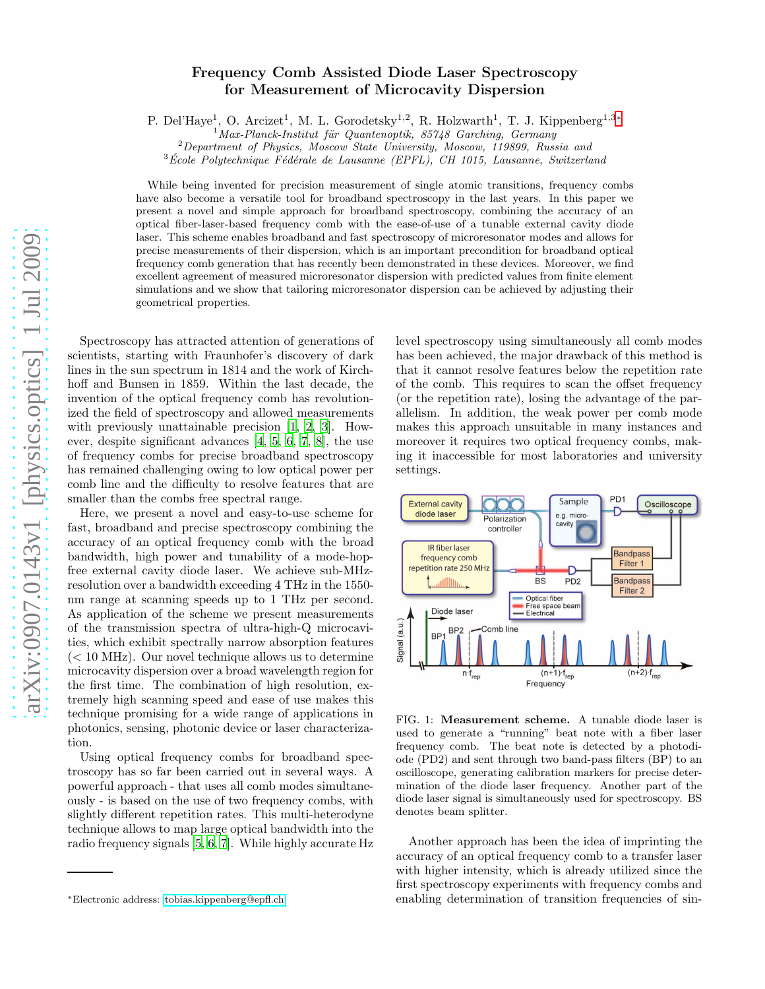## Frequency Comb Assisted Diode Laser Spectroscopy for Measurement of Microcavity Dispersion

P. Del'Haye<sup>1</sup>, O. Arcizet<sup>1</sup>, M. L. Gorodetsky<sup>1,2</sup>, R. Holzwarth<sup>1</sup>, T. J. Kippenberg<sup>1,3\*</sup>

 $1$ Max-Planck-Institut für Quantenoptik, 85748 Garching, Germany

 $2$ Department of Physics, Moscow State University, Moscow, 119899, Russia and

 $3\text{École Polytechnique Fédérale de Lausanne (EPFL), CH 1015, Lausanne, Switzerland}$ 

While being invented for precision measurement of single atomic transitions, frequency combs have also become a versatile tool for broadband spectroscopy in the last years. In this paper we present a novel and simple approach for broadband spectroscopy, combining the accuracy of an optical fiber-laser-based frequency comb with the ease-of-use of a tunable external cavity diode laser. This scheme enables broadband and fast spectroscopy of microresonator modes and allows for precise measurements of their dispersion, which is an important precondition for broadband optical frequency comb generation that has recently been demonstrated in these devices. Moreover, we find excellent agreement of measured microresonator dispersion with predicted values from finite element simulations and we show that tailoring microresonator dispersion can be achieved by adjusting their geometrical properties.

Spectroscopy has attracted attention of generations of scientists, starting with Fraunhofer's discovery of dark lines in the sun spectrum in 1814 and the work of Kirchhoff and Bunsen in 1859. Within the last decade, the invention of the optical frequency comb has revolutionized the field of spectroscopy and allowed measurements with previously unattainable precision [\[1](#page-5-0), [2,](#page-5-1) [3\]](#page-5-2). However, despite significant advances [\[4,](#page-5-3) [5,](#page-5-4) [6](#page-5-5), [7](#page-5-6), [8\]](#page-5-7), the use of frequency combs for precise broadband spectroscopy has remained challenging owing to low optical power per comb line and the difficulty to resolve features that are smaller than the combs free spectral range.

Here, we present a novel and easy-to-use scheme for fast, broadband and precise spectroscopy combining the accuracy of an optical frequency comb with the broad bandwidth, high power and tunability of a mode-hopfree external cavity diode laser. We achieve sub-MHzresolution over a bandwidth exceeding 4 THz in the 1550 nm range at scanning speeds up to 1 THz per second. As application of the scheme we present measurements of the transmission spectra of ultra-high-Q microcavities, which exhibit spectrally narrow absorption features  $(< 10$  MHz). Our novel technique allows us to determine microcavity dispersion over a broad wavelength region for the first time. The combination of high resolution, extremely high scanning speed and ease of use makes this technique promising for a wide range of applications in photonics, sensing, photonic device or laser characterization.

Using optical frequency combs for broadband spectroscopy has so far been carried out in several ways. A powerful approach - that uses all comb modes simultaneously - is based on the use of two frequency combs, with slightly different repetition rates. This multi-heterodyne technique allows to map large optical bandwidth into the radio frequency signals [\[5](#page-5-4), [6,](#page-5-5) [7\]](#page-5-6). While highly accurate Hz level spectroscopy using simultaneously all comb modes has been achieved, the major drawback of this method is that it cannot resolve features below the repetition rate of the comb. This requires to scan the offset frequency (or the repetition rate), losing the advantage of the parallelism. In addition, the weak power per comb mode makes this approach unsuitable in many instances and moreover it requires two optical frequency combs, making it inaccessible for most laboratories and university settings.



FIG. 1: Measurement scheme. A tunable diode laser is used to generate a "running" beat note with a fiber laser frequency comb. The beat note is detected by a photodiode (PD2) and sent through two band-pass filters (BP) to an oscilloscope, generating calibration markers for precise determination of the diode laser frequency. Another part of the diode laser signal is simultaneously used for spectroscopy. BS denotes beam splitter.

Another approach has been the idea of imprinting the accuracy of an optical frequency comb to a transfer laser with higher intensity, which is already utilized since the first spectroscopy experiments with frequency combs and enabling determination of transition frequencies of sin-

<span id="page-0-0"></span><sup>∗</sup>Electronic address: [tobias.kippenberg@epfl.ch](mailto:tobias.kippenberg@epfl.ch)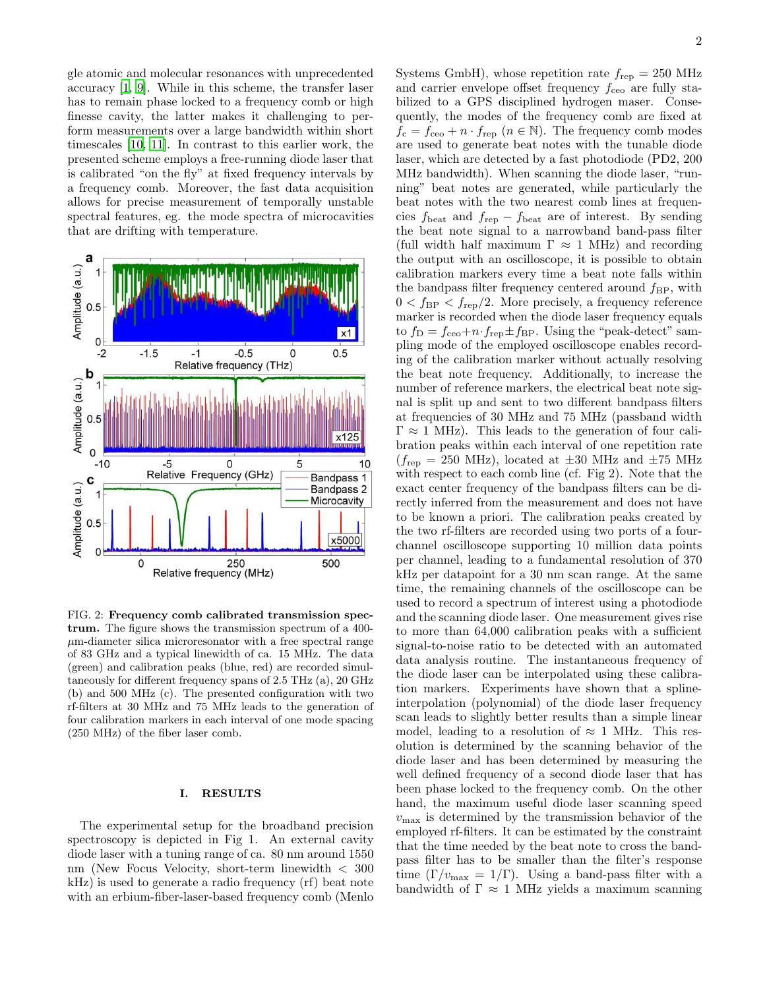gle atomic and molecular resonances with unprecedented accuracy [\[1](#page-5-0), [9\]](#page-5-8). While in this scheme, the transfer laser has to remain phase locked to a frequency comb or high finesse cavity, the latter makes it challenging to perform measurements over a large bandwidth within short timescales [\[10](#page-5-9), [11\]](#page-5-10). In contrast to this earlier work, the presented scheme employs a free-running diode laser that is calibrated "on the fly" at fixed frequency intervals by a frequency comb. Moreover, the fast data acquisition allows for precise measurement of temporally unstable spectral features, eg. the mode spectra of microcavities that are drifting with temperature.



FIG. 2: Frequency comb calibrated transmission spectrum. The figure shows the transmission spectrum of a 400-  $\mu$ m-diameter silica microresonator with a free spectral range of 83 GHz and a typical linewidth of ca. 15 MHz. The data (green) and calibration peaks (blue, red) are recorded simultaneously for different frequency spans of 2.5 THz (a), 20 GHz (b) and 500 MHz (c). The presented configuration with two rf-filters at 30 MHz and 75 MHz leads to the generation of four calibration markers in each interval of one mode spacing (250 MHz) of the fiber laser comb.

## I. RESULTS

The experimental setup for the broadband precision spectroscopy is depicted in Fig 1. An external cavity diode laser with a tuning range of ca. 80 nm around 1550 nm (New Focus Velocity, short-term linewidth < 300 kHz) is used to generate a radio frequency (rf) beat note with an erbium-fiber-laser-based frequency comb (Menlo

Systems GmbH), whose repetition rate  $f_{\text{rep}} = 250 \text{ MHz}$ and carrier envelope offset frequency  $f_{ceo}$  are fully stabilized to a GPS disciplined hydrogen maser. Consequently, the modes of the frequency comb are fixed at  $f_c = f_{ceo} + n \cdot f_{rep}$   $(n \in \mathbb{N})$ . The frequency comb modes are used to generate beat notes with the tunable diode laser, which are detected by a fast photodiode (PD2, 200 MHz bandwidth). When scanning the diode laser, "running" beat notes are generated, while particularly the beat notes with the two nearest comb lines at frequencies  $f_{\text{beat}}$  and  $f_{\text{rep}} - f_{\text{beat}}$  are of interest. By sending the beat note signal to a narrowband band-pass filter (full width half maximum  $\Gamma \approx 1$  MHz) and recording the output with an oscilloscope, it is possible to obtain calibration markers every time a beat note falls within the bandpass filter frequency centered around  $f_{\rm BP}$ , with  $0 < f_{\rm BP} < f_{\rm rep}/2$ . More precisely, a frequency reference marker is recorded when the diode laser frequency equals to  $f_{\text{D}} = f_{\text{ceo}} + n \cdot f_{\text{rep}} \pm f_{\text{BP}}$ . Using the "peak-detect" sampling mode of the employed oscilloscope enables recording of the calibration marker without actually resolving the beat note frequency. Additionally, to increase the number of reference markers, the electrical beat note signal is split up and sent to two different bandpass filters at frequencies of 30 MHz and 75 MHz (passband width  $\Gamma \approx 1$  MHz). This leads to the generation of four calibration peaks within each interval of one repetition rate  $(f_{\text{rep}} = 250 \text{ MHz})$ , located at  $\pm 30 \text{ MHz}$  and  $\pm 75 \text{ MHz}$ with respect to each comb line (cf. Fig 2). Note that the exact center frequency of the bandpass filters can be directly inferred from the measurement and does not have to be known a priori. The calibration peaks created by the two rf-filters are recorded using two ports of a fourchannel oscilloscope supporting 10 million data points per channel, leading to a fundamental resolution of 370 kHz per datapoint for a 30 nm scan range. At the same time, the remaining channels of the oscilloscope can be used to record a spectrum of interest using a photodiode and the scanning diode laser. One measurement gives rise to more than 64,000 calibration peaks with a sufficient signal-to-noise ratio to be detected with an automated data analysis routine. The instantaneous frequency of the diode laser can be interpolated using these calibration markers. Experiments have shown that a splineinterpolation (polynomial) of the diode laser frequency scan leads to slightly better results than a simple linear model, leading to a resolution of  $\approx 1$  MHz. This resolution is determined by the scanning behavior of the diode laser and has been determined by measuring the well defined frequency of a second diode laser that has been phase locked to the frequency comb. On the other hand, the maximum useful diode laser scanning speed  $v_{\text{max}}$  is determined by the transmission behavior of the employed rf-filters. It can be estimated by the constraint that the time needed by the beat note to cross the bandpass filter has to be smaller than the filter's response time  $(\Gamma/v_{\text{max}} = 1/\Gamma)$ . Using a band-pass filter with a bandwidth of  $\Gamma \approx 1$  MHz yields a maximum scanning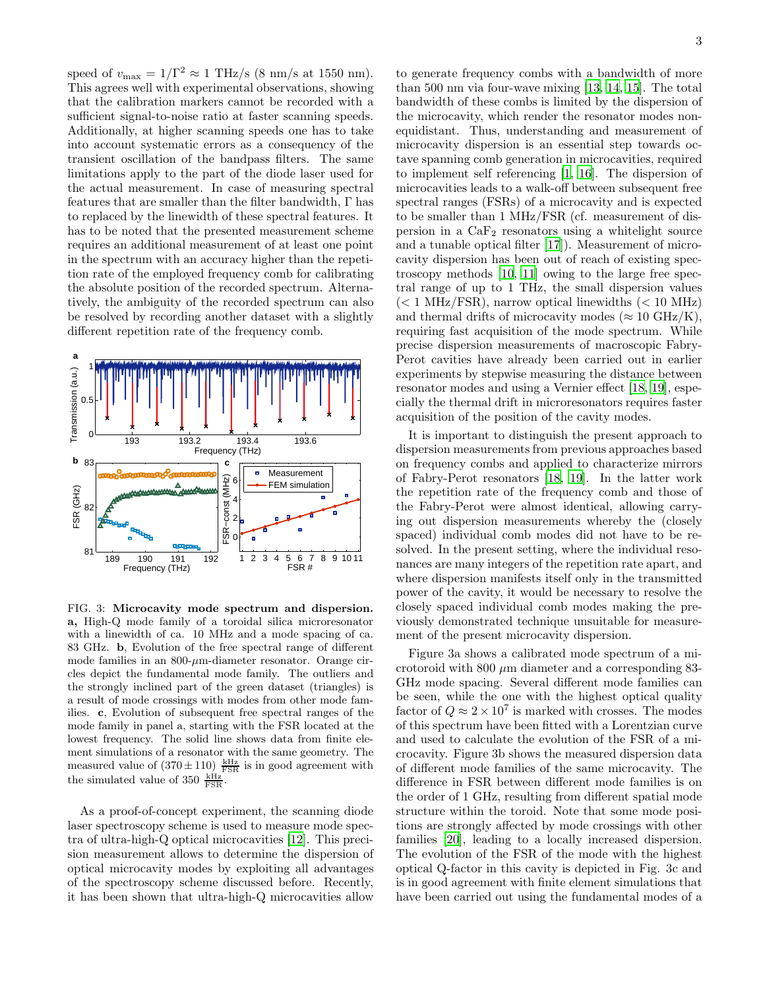speed of  $v_{\text{max}} = 1/\Gamma^2 \approx 1 \text{ THz/s (8 nm/s at 1550 nm)}.$ This agrees well with experimental observations, showing that the calibration markers cannot be recorded with a sufficient signal-to-noise ratio at faster scanning speeds. Additionally, at higher scanning speeds one has to take into account systematic errors as a consequency of the transient oscillation of the bandpass filters. The same limitations apply to the part of the diode laser used for the actual measurement. In case of measuring spectral features that are smaller than the filter bandwidth, Γ has to replaced by the linewidth of these spectral features. It has to be noted that the presented measurement scheme requires an additional measurement of at least one point in the spectrum with an accuracy higher than the repetition rate of the employed frequency comb for calibrating the absolute position of the recorded spectrum. Alternatively, the ambiguity of the recorded spectrum can also be resolved by recording another dataset with a slightly different repetition rate of the frequency comb.



FIG. 3: Microcavity mode spectrum and dispersion. a, High-Q mode family of a toroidal silica microresonator with a linewidth of ca. 10 MHz and a mode spacing of ca. 83 GHz. b, Evolution of the free spectral range of different mode families in an  $800$ - $\mu$ m-diameter resonator. Orange circles depict the fundamental mode family. The outliers and the strongly inclined part of the green dataset (triangles) is a result of mode crossings with modes from other mode families. c, Evolution of subsequent free spectral ranges of the mode family in panel a, starting with the FSR located at the lowest frequency. The solid line shows data from finite element simulations of a resonator with the same geometry. The measured value of  $(370 \pm 110) \frac{\text{kHz}}{\text{FSR}}$  is in good agreement with the simulated value of 350  $\frac{kHz}{FSR}$ .

As a proof-of-concept experiment, the scanning diode laser spectroscopy scheme is used to measure mode spectra of ultra-high-Q optical microcavities [\[12\]](#page-5-11). This precision measurement allows to determine the dispersion of optical microcavity modes by exploiting all advantages of the spectroscopy scheme discussed before. Recently, it has been shown that ultra-high-Q microcavities allow

to generate frequency combs with a bandwidth of more than 500 nm via four-wave mixing [\[13](#page-5-12), [14,](#page-5-13) [15\]](#page-5-14). The total bandwidth of these combs is limited by the dispersion of the microcavity, which render the resonator modes nonequidistant. Thus, understanding and measurement of microcavity dispersion is an essential step towards octave spanning comb generation in microcavities, required to implement self referencing [\[1,](#page-5-0) [16\]](#page-5-15). The dispersion of microcavities leads to a walk-off between subsequent free spectral ranges (FSRs) of a microcavity and is expected to be smaller than 1 MHz/FSR (cf. measurement of dispersion in a  $CaF<sub>2</sub>$  resonators using a whitelight source and a tunable optical filter [\[17](#page-5-16)]). Measurement of microcavity dispersion has been out of reach of existing spectroscopy methods [\[10](#page-5-9), [11](#page-5-10)] owing to the large free spectral range of up to 1 THz, the small dispersion values  $(< 1$  MHz/FSR), narrow optical linewidths  $(< 10$  MHz) and thermal drifts of microcavity modes ( $\approx 10 \text{ GHz/K}$ ), requiring fast acquisition of the mode spectrum. While precise dispersion measurements of macroscopic Fabry-Perot cavities have already been carried out in earlier experiments by stepwise measuring the distance between resonator modes and using a Vernier effect [\[18,](#page-5-17) [19\]](#page-5-18), especially the thermal drift in microresonators requires faster acquisition of the position of the cavity modes.

It is important to distinguish the present approach to dispersion measurements from previous approaches based on frequency combs and applied to characterize mirrors of Fabry-Perot resonators [\[18,](#page-5-17) [19](#page-5-18)]. In the latter work the repetition rate of the frequency comb and those of the Fabry-Perot were almost identical, allowing carrying out dispersion measurements whereby the (closely spaced) individual comb modes did not have to be resolved. In the present setting, where the individual resonances are many integers of the repetition rate apart, and where dispersion manifests itself only in the transmitted power of the cavity, it would be necessary to resolve the closely spaced individual comb modes making the previously demonstrated technique unsuitable for measurement of the present microcavity dispersion.

Figure 3a shows a calibrated mode spectrum of a microtoroid with 800  $\mu$ m diameter and a corresponding 83-GHz mode spacing. Several different mode families can be seen, while the one with the highest optical quality factor of  $Q \approx 2 \times 10^7$  is marked with crosses. The modes of this spectrum have been fitted with a Lorentzian curve and used to calculate the evolution of the FSR of a microcavity. Figure 3b shows the measured dispersion data of different mode families of the same microcavity. The difference in FSR between different mode families is on the order of 1 GHz, resulting from different spatial mode structure within the toroid. Note that some mode positions are strongly affected by mode crossings with other families [\[20\]](#page-5-19), leading to a locally increased dispersion. The evolution of the FSR of the mode with the highest optical Q-factor in this cavity is depicted in Fig. 3c and is in good agreement with finite element simulations that have been carried out using the fundamental modes of a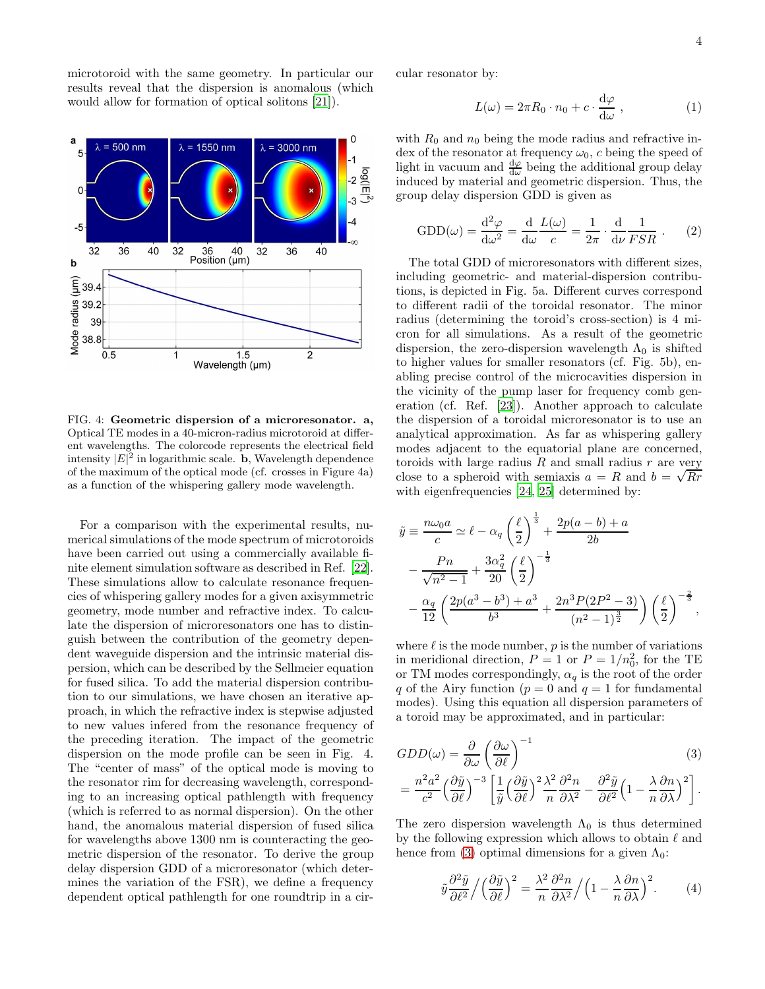microtoroid with the same geometry. In particular our results reveal that the dispersion is anomalous (which would allow for formation of optical solitons [\[21\]](#page-5-20)).



FIG. 4: Geometric dispersion of a microresonator. a, Optical TE modes in a 40-micron-radius microtoroid at different wavelengths. The colorcode represents the electrical field intensity  $|E|^2$  in logarithmic scale. **b**, Wavelength dependence of the maximum of the optical mode (cf. crosses in Figure 4a) as a function of the whispering gallery mode wavelength.

For a comparison with the experimental results, numerical simulations of the mode spectrum of microtoroids have been carried out using a commercially available finite element simulation software as described in Ref. [\[22\]](#page-5-21). These simulations allow to calculate resonance frequencies of whispering gallery modes for a given axisymmetric geometry, mode number and refractive index. To calculate the dispersion of microresonators one has to distinguish between the contribution of the geometry dependent waveguide dispersion and the intrinsic material dispersion, which can be described by the Sellmeier equation for fused silica. To add the material dispersion contribution to our simulations, we have chosen an iterative approach, in which the refractive index is stepwise adjusted to new values infered from the resonance frequency of the preceding iteration. The impact of the geometric dispersion on the mode profile can be seen in Fig. 4. The "center of mass" of the optical mode is moving to the resonator rim for decreasing wavelength, corresponding to an increasing optical pathlength with frequency (which is referred to as normal dispersion). On the other hand, the anomalous material dispersion of fused silica for wavelengths above 1300 nm is counteracting the geometric dispersion of the resonator. To derive the group delay dispersion GDD of a microresonator (which determines the variation of the FSR), we define a frequency dependent optical pathlength for one roundtrip in a circular resonator by:

$$
L(\omega) = 2\pi R_0 \cdot n_0 + c \cdot \frac{\mathrm{d}\varphi}{\mathrm{d}\omega}, \qquad (1)
$$

with  $R_0$  and  $n_0$  being the mode radius and refractive index of the resonator at frequency  $\omega_0$ , c being the speed of light in vacuum and  $\frac{d\varphi}{d\omega}$  being the additional group delay induced by material and geometric dispersion. Thus, the group delay dispersion GDD is given as

$$
GDD(\omega) = \frac{d^2 \varphi}{d\omega^2} = \frac{d}{d\omega} \frac{L(\omega)}{c} = \frac{1}{2\pi} \cdot \frac{d}{d\nu} \frac{1}{FSR} . \tag{2}
$$

The total GDD of microresonators with different sizes, including geometric- and material-dispersion contributions, is depicted in Fig. 5a. Different curves correspond to different radii of the toroidal resonator. The minor radius (determining the toroid's cross-section) is 4 micron for all simulations. As a result of the geometric dispersion, the zero-dispersion wavelength  $\Lambda_0$  is shifted to higher values for smaller resonators (cf. Fig. 5b), enabling precise control of the microcavities dispersion in the vicinity of the pump laser for frequency comb generation (cf. Ref. [\[23\]](#page-5-22)). Another approach to calculate the dispersion of a toroidal microresonator is to use an analytical approximation. As far as whispering gallery modes adjacent to the equatorial plane are concerned, toroids with large radius  $R$  and small radius  $r$  are very close to a spheroid with semiaxis  $a = R$  and  $b = \sqrt{Rr}$ with eigenfrequencies [\[24,](#page-5-23) [25\]](#page-5-24) determined by:

$$
\tilde{y} \equiv \frac{n\omega_0 a}{c} \simeq \ell - \alpha_q \left(\frac{\ell}{2}\right)^{\frac{1}{3}} + \frac{2p(a-b) + a}{2b}
$$

$$
- \frac{Pn}{\sqrt{n^2 - 1}} + \frac{3\alpha_q^2}{20} \left(\frac{\ell}{2}\right)^{-\frac{1}{3}}
$$

$$
- \frac{\alpha_q}{12} \left(\frac{2p(a^3 - b^3) + a^3}{b^3} + \frac{2n^3 P(2P^2 - 3)}{(n^2 - 1)^{\frac{3}{2}}}\right) \left(\frac{\ell}{2}\right)^{-\frac{2}{3}},
$$

where  $\ell$  is the mode number,  $p$  is the number of variations in meridional direction,  $P = 1$  or  $P = 1/n_0^2$ , for the TE or TM modes correspondingly,  $\alpha_q$  is the root of the order q of the Airy function ( $p = 0$  and  $q = 1$  for fundamental modes). Using this equation all dispersion parameters of a toroid may be approximated, and in particular:

$$
GDD(\omega) = \frac{\partial}{\partial \omega} \left( \frac{\partial \omega}{\partial \ell} \right)^{-1}
$$
(3)  
= 
$$
\frac{n^2 a^2}{c^2} \left( \frac{\partial \tilde{y}}{\partial \ell} \right)^{-3} \left[ \frac{1}{\tilde{y}} \left( \frac{\partial \tilde{y}}{\partial \ell} \right)^2 \frac{\lambda^2}{n} \frac{\partial^2 n}{\partial \lambda^2} - \frac{\partial^2 \tilde{y}}{\partial \ell^2} \left( 1 - \frac{\lambda}{n} \frac{\partial n}{\partial \lambda} \right)^2 \right].
$$

The zero dispersion wavelength  $\Lambda_0$  is thus determined by the following expression which allows to obtain  $\ell$  and hence from [\(3\)](#page-3-0) optimal dimensions for a given  $\Lambda_0$ :

<span id="page-3-0"></span>
$$
\tilde{y}\frac{\partial^2 \tilde{y}}{\partial \ell^2} / \left(\frac{\partial \tilde{y}}{\partial \ell}\right)^2 = \frac{\lambda^2}{n} \frac{\partial^2 n}{\partial \lambda^2} / \left(1 - \frac{\lambda}{n} \frac{\partial n}{\partial \lambda}\right)^2.
$$
 (4)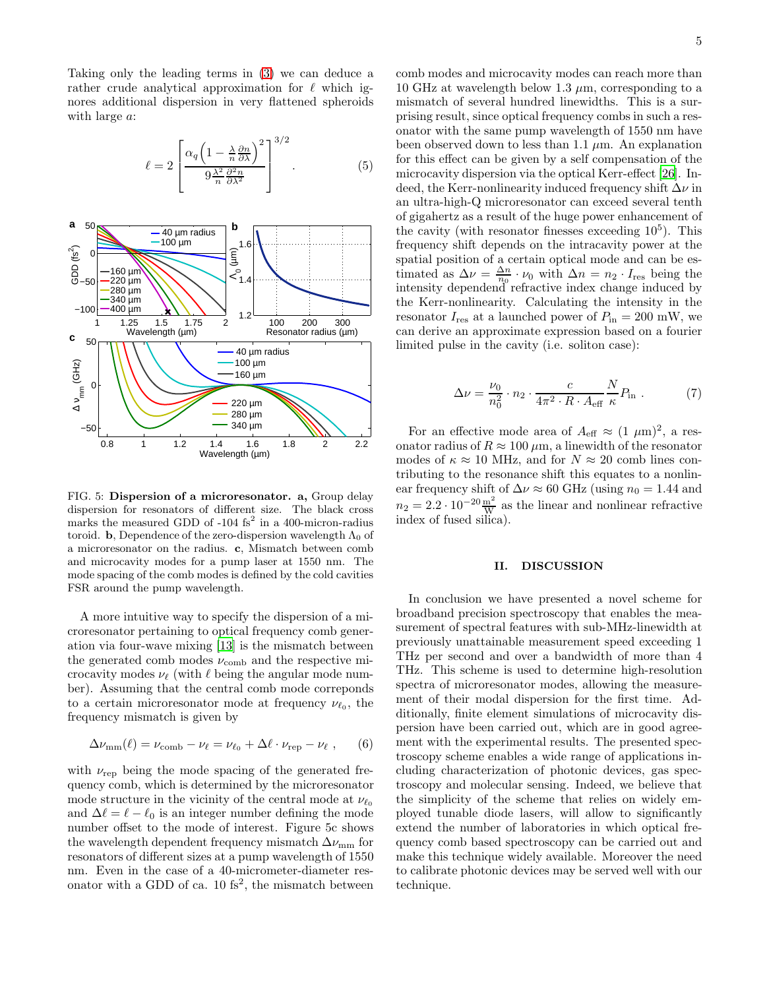Taking only the leading terms in [\(3\)](#page-3-0) we can deduce a rather crude analytical approximation for  $\ell$  which ignores additional dispersion in very flattened spheroids with large  $a$ :

$$
\ell = 2 \left[ \frac{\alpha_q \left( 1 - \frac{\lambda}{n} \frac{\partial n}{\partial \lambda} \right)^2}{9 \frac{\lambda^2}{n} \frac{\partial^2 n}{\partial \lambda^2}} \right]^{3/2} . \tag{5}
$$



FIG. 5: Dispersion of a microresonator. a, Group delay dispersion for resonators of different size. The black cross marks the measured GDD of -104  $fs^2$  in a 400-micron-radius toroid. b, Dependence of the zero-dispersion wavelength  $\Lambda_0$  of a microresonator on the radius. c, Mismatch between comb and microcavity modes for a pump laser at 1550 nm. The mode spacing of the comb modes is defined by the cold cavities FSR around the pump wavelength.

A more intuitive way to specify the dispersion of a microresonator pertaining to optical frequency comb generation via four-wave mixing [\[13\]](#page-5-12) is the mismatch between the generated comb modes  $\nu_{\rm comb}$  and the respective microcavity modes  $\nu_{\ell}$  (with  $\ell$  being the angular mode number). Assuming that the central comb mode correponds to a certain microresonator mode at frequency  $\nu_{\ell_0}$ , the frequency mismatch is given by

$$
\Delta\nu_{\rm mm}(\ell) = \nu_{\rm comb} - \nu_{\ell} = \nu_{\ell_0} + \Delta\ell \cdot \nu_{\rm rep} - \nu_{\ell} \;, \qquad (6)
$$

with  $\nu_{\rm rep}$  being the mode spacing of the generated frequency comb, which is determined by the microresonator mode structure in the vicinity of the central mode at  $\nu_{\ell_0}$ and  $\Delta \ell = \ell - \ell_0$  is an integer number defining the mode number offset to the mode of interest. Figure 5c shows the wavelength dependent frequency mismatch  $\Delta\nu_{\rm mm}$  for resonators of different sizes at a pump wavelength of 1550 nm. Even in the case of a 40-micrometer-diameter resonator with a GDD of ca.  $10 \text{ fs}^2$ , the mismatch between

comb modes and microcavity modes can reach more than 10 GHz at wavelength below 1.3  $\mu$ m, corresponding to a mismatch of several hundred linewidths. This is a surprising result, since optical frequency combs in such a resonator with the same pump wavelength of 1550 nm have been observed down to less than 1.1  $\mu$ m. An explanation for this effect can be given by a self compensation of the microcavity dispersion via the optical Kerr-effect [\[26\]](#page-5-25). Indeed, the Kerr-nonlinearity induced frequency shift  $\Delta \nu$  in an ultra-high-Q microresonator can exceed several tenth of gigahertz as a result of the huge power enhancement of the cavity (with resonator finesses exceeding  $10^5$ ). This frequency shift depends on the intracavity power at the spatial position of a certain optical mode and can be estimated as  $\Delta \nu = \frac{\Delta n}{n_0} \cdot \nu_0$  with  $\Delta n = n_2 \cdot I_{\text{res}}$  being the intensity dependend refractive index change induced by the Kerr-nonlinearity. Calculating the intensity in the resonator  $I_{\text{res}}$  at a launched power of  $P_{\text{in}} = 200$  mW, we can derive an approximate expression based on a fourier limited pulse in the cavity (i.e. soliton case):

$$
\Delta \nu = \frac{\nu_0}{n_0^2} \cdot n_2 \cdot \frac{c}{4\pi^2 \cdot R \cdot A_{\text{eff}}} \frac{N}{\kappa} P_{\text{in}} \ . \tag{7}
$$

For an effective mode area of  $A_{\text{eff}} \approx (1 \ \mu \text{m})^2$ , a resonator radius of  $R \approx 100 \ \mu \text{m}$ , a linewidth of the resonator modes of  $\kappa \approx 10$  MHz, and for  $N \approx 20$  comb lines contributing to the resonance shift this equates to a nonlinear frequency shift of  $\Delta \nu \approx 60$  GHz (using  $n_0 = 1.44$  and  $n_2 = 2.2 \cdot 10^{-20} \frac{\text{m}^2}{\text{W}}$  as the linear and nonlinear refractive index of fused silica).

## II. DISCUSSION

In conclusion we have presented a novel scheme for broadband precision spectroscopy that enables the measurement of spectral features with sub-MHz-linewidth at previously unattainable measurement speed exceeding 1 THz per second and over a bandwidth of more than 4 THz. This scheme is used to determine high-resolution spectra of microresonator modes, allowing the measurement of their modal dispersion for the first time. Additionally, finite element simulations of microcavity dispersion have been carried out, which are in good agreement with the experimental results. The presented spectroscopy scheme enables a wide range of applications including characterization of photonic devices, gas spectroscopy and molecular sensing. Indeed, we believe that the simplicity of the scheme that relies on widely employed tunable diode lasers, will allow to significantly extend the number of laboratories in which optical frequency comb based spectroscopy can be carried out and make this technique widely available. Moreover the need to calibrate photonic devices may be served well with our technique.